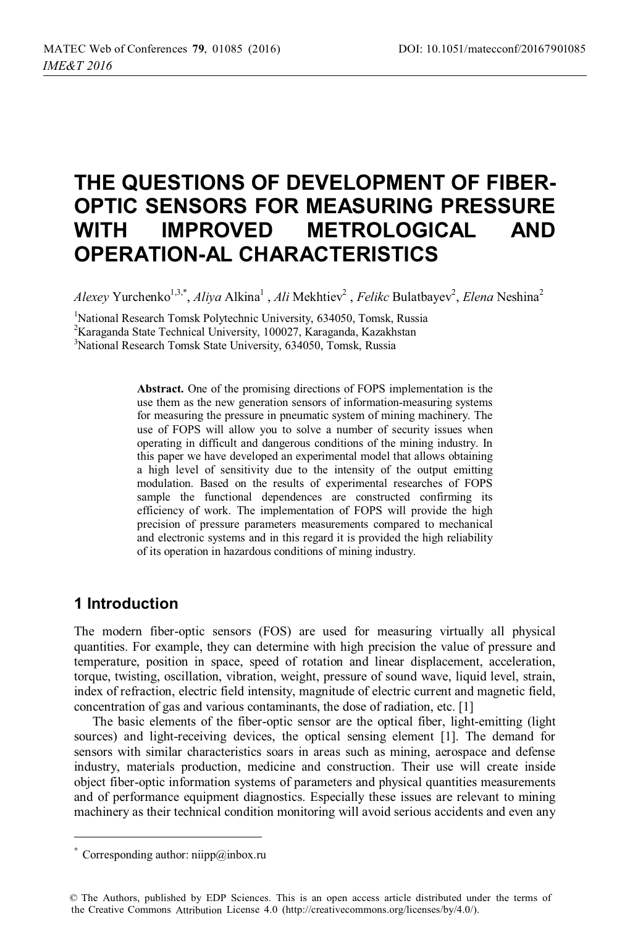# **THE QUESTIONS OF DEVELOPMENT OF FIBER-OPTIC SENSORS FOR MEASURING PRESSURE WITH IMPROVED METROLOGICAL AND OPERATION-AL CHARACTERISTICS**

*Alexey* Yurchenko<sup>1,3,\*</sup>, *Aliya* Alkina<sup>1</sup>, *Ali* Mekhtiev<sup>2</sup>, *Felikc* Bulatbayev<sup>2</sup>, *Elena* Neshina<sup>2</sup>

<sup>1</sup>National Research Tomsk Polytechnic University, 634050, Tomsk, Russia

2 Karaganda State Technical University, 100027, Karaganda, Kazakhstan

3 National Research Tomsk State University, 634050, Tomsk, Russia

**Abstract.** One of the promising directions of FOPS implementation is the use them as the new generation sensors of information-measuring systems for measuring the pressure in pneumatic system of mining machinery. The use of FOPS will allow you to solve a number of security issues when operating in difficult and dangerous conditions of the mining industry. In this paper we have developed an experimental model that allows obtaining a high level of sensitivity due to the intensity of the output emitting modulation. Based on the results of experimental researches of FOPS sample the functional dependences are constructed confirming its efficiency of work. The implementation of FOPS will provide the high precision of pressure parameters measurements compared to mechanical and electronic systems and in this regard it is provided the high reliability of its operation in hazardous conditions of mining industry.

### **1 Introduction**

ı

The modern fiber-optic sensors (FOS) are used for measuring virtually all physical quantities. For example, they can determine with high precision the value of pressure and temperature, position in space, speed of rotation and linear displacement, acceleration, torque, twisting, oscillation, vibration, weight, pressure of sound wave, liquid level, strain, index of refraction, electric field intensity, magnitude of electric current and magnetic field, concentration of gas and various contaminants, the dose of radiation, etc. [1]

The basic elements of the fiber-optic sensor are the optical fiber, light-emitting (light sources) and light-receiving devices, the optical sensing element [1]. The demand for sensors with similar characteristics soars in areas such as mining, aerospace and defense industry, materials production, medicine and construction. Their use will create inside object fiber-optic information systems of parameters and physical quantities measurements and of performance equipment diagnostics. Especially these issues are relevant to mining machinery as their technical condition monitoring will avoid serious accidents and even any

<sup>\*</sup> Corresponding author: niipp@inbox.ru

<sup>©</sup> The Authors, published by EDP Sciences. This is an open access article distributed under the terms of the Creative Commons Attribution License 4.0 (http://creativecommons.org/licenses/by/4.0/).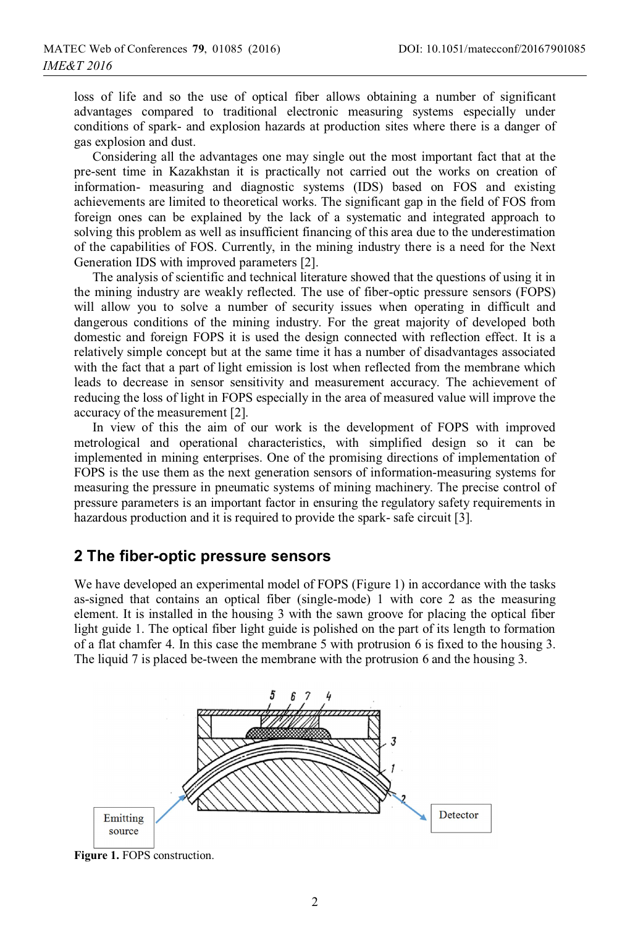loss of life and so the use of optical fiber allows obtaining a number of significant advantages compared to traditional electronic measuring systems especially under conditions of spark- and explosion hazards at production sites where there is a danger of gas explosion and dust.

Considering all the advantages one may single out the most important fact that at the pre-sent time in Kazakhstan it is practically not carried out the works on creation of information- measuring and diagnostic systems (IDS) based on FOS and existing achievements are limited to theoretical works. The significant gap in the field of FOS from foreign ones can be explained by the lack of a systematic and integrated approach to solving this problem as well as insufficient financing of this area due to the underestimation of the capabilities of FOS. Currently, in the mining industry there is a need for the Next Generation IDS with improved parameters [2].

The analysis of scientific and technical literature showed that the questions of using it in the mining industry are weakly reflected. The use of fiber-optic pressure sensors (FOPS) will allow you to solve a number of security issues when operating in difficult and dangerous conditions of the mining industry. For the great majority of developed both domestic and foreign FOPS it is used the design connected with reflection effect. It is a relatively simple concept but at the same time it has a number of disadvantages associated with the fact that a part of light emission is lost when reflected from the membrane which leads to decrease in sensor sensitivity and measurement accuracy. The achievement of reducing the loss of light in FOPS especially in the area of measured value will improve the accuracy of the measurement [2].

In view of this the aim of our work is the development of FOPS with improved metrological and operational characteristics, with simplified design so it can be implemented in mining enterprises. One of the promising directions of implementation of FOPS is the use them as the next generation sensors of information-measuring systems for measuring the pressure in pneumatic systems of mining machinery. The precise control of pressure parameters is an important factor in ensuring the regulatory safety requirements in hazardous production and it is required to provide the spark- safe circuit [3].

#### **2 The fiber-optic pressure sensors**

We have developed an experimental model of FOPS (Figure 1) in accordance with the tasks as-signed that contains an optical fiber (single-mode) 1 with core 2 as the measuring element. It is installed in the housing 3 with the sawn groove for placing the optical fiber light guide 1. The optical fiber light guide is polished on the part of its length to formation of a flat chamfer 4. In this case the membrane 5 with protrusion 6 is fixed to the housing 3. The liquid 7 is placed be-tween the membrane with the protrusion 6 and the housing 3.



Figure 1. FOPS construction.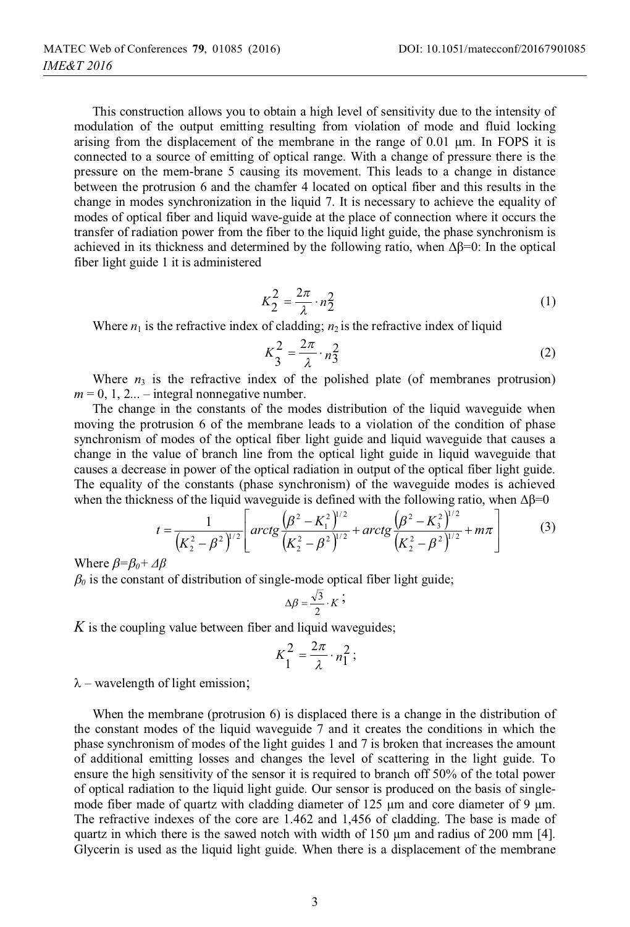This construction allows you to obtain a high level of sensitivity due to the intensity of modulation of the output emitting resulting from violation of mode and fluid locking arising from the displacement of the membrane in the range of 0.01 μm. In FOPS it is connected to a source of emitting of optical range. With a change of pressure there is the pressure on the mem-brane 5 causing its movement. This leads to a change in distance between the protrusion 6 and the chamfer 4 located on optical fiber and this results in the change in modes synchronization in the liquid 7. It is necessary to achieve the equality of modes of optical fiber and liquid wave-guide at the place of connection where it occurs the transfer of radiation power from the fiber to the liquid light guide, the phase synchronism is achieved in its thickness and determined by the following ratio, when  $\Delta \beta = 0$ : In the optical fiber light guide 1 it is administered

$$
K_2^2 = \frac{2\pi}{\lambda} \cdot n_2^2 \tag{1}
$$

Where  $n_1$  is the refractive index of cladding;  $n_2$  is the refractive index of liquid

$$
K_3^2 = \frac{2\pi}{\lambda} \cdot n_3^2 \tag{2}
$$

Where  $n_3$  is the refractive index of the polished plate (of membranes protrusion)  $m = 0, 1, 2...$  – integral nonnegative number.

The change in the constants of the modes distribution of the liquid waveguide when moving the protrusion 6 of the membrane leads to a violation of the condition of phase synchronism of modes of the optical fiber light guide and liquid waveguide that causes a change in the value of branch line from the optical light guide in liquid waveguide that causes a decrease in power of the optical radiation in output of the optical fiber light guide. The equality of the constants (phase synchronism) of the waveguide modes is achieved when the thickness of the liquid waveguide is defined with the following ratio, when  $\Delta\beta=0$ 

$$
t = \frac{1}{\left(K_2^2 - \beta^2\right)^{1/2}} \left[ \arctg \frac{\left(\beta^2 - K_1^2\right)^{1/2}}{\left(K_2^2 - \beta^2\right)^{1/2}} + \arctg \frac{\left(\beta^2 - K_3^2\right)^{1/2}}{\left(K_2^2 - \beta^2\right)^{1/2}} + m\pi \right]
$$
(3)

Where *β=β0+ Δβ*

 $\beta_0$  is the constant of distribution of single-mode optical fiber light guide;

$$
\Delta \beta = \frac{\sqrt{3}}{2} \cdot K
$$
;

*K* is the coupling value between fiber and liquid waveguides;

$$
K_1^2 = \frac{2\pi}{\lambda} \cdot n_1^2 \, ;
$$

 $\lambda$  – wavelength of light emission;

When the membrane (protrusion 6) is displaced there is a change in the distribution of the constant modes of the liquid waveguide 7 and it creates the conditions in which the phase synchronism of modes of the light guides 1 and 7 is broken that increases the amount of additional emitting losses and changes the level of scattering in the light guide. To ensure the high sensitivity of the sensor it is required to branch off 50% of the total power of optical radiation to the liquid light guide. Our sensor is produced on the basis of singlemode fiber made of quartz with cladding diameter of 125 μm and core diameter of 9 μm. The refractive indexes of the core are 1.462 and 1,456 of cladding. The base is made of quartz in which there is the sawed notch with width of  $150 \mu m$  and radius of 200 mm [4]. Glycerin is used as the liquid light guide. When there is a displacement of the membrane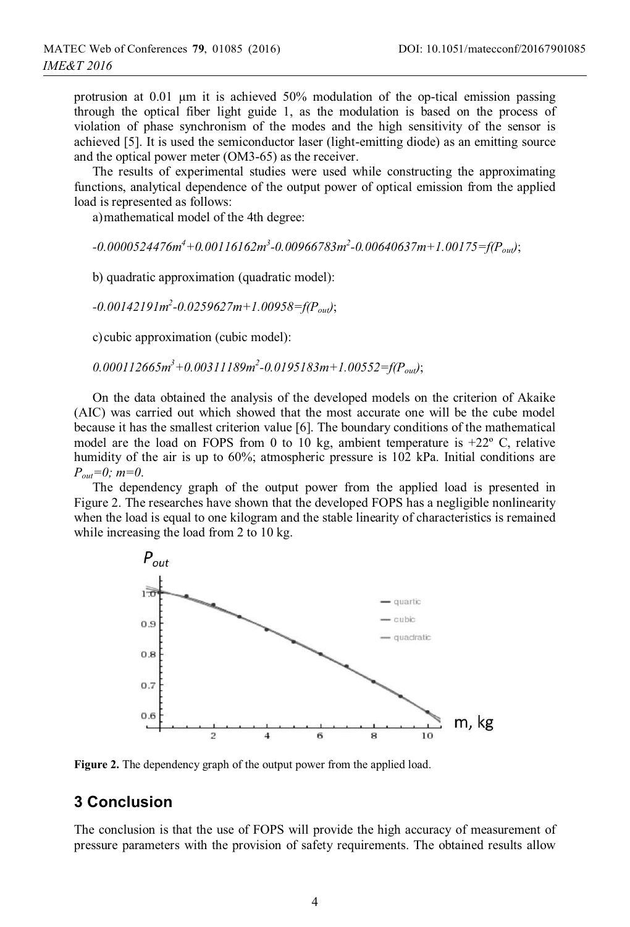protrusion at 0.01 μm it is achieved 50% modulation of the op-tical emission passing through the optical fiber light guide 1, as the modulation is based on the process of violation of phase synchronism of the modes and the high sensitivity of the sensor is achieved [5]. It is used the semiconductor laser (light-emitting diode) as an emitting source and the optical power meter (OM3-65) as the receiver.

The results of experimental studies were used while constructing the approximating functions, analytical dependence of the output power of optical emission from the applied load is represented as follows:

a)mathematical model of the 4th degree:

*-0.0000524476m4 +0.00116162m3 -0.00966783m2 -0.00640637m+1.00175=f(Pout)*;

b) quadratic approximation (quadratic model):

*-0.00142191m2 -0.0259627m+1.00958=f(Pout)*;

c)cubic approximation (cubic model):

*0.000112665m3 +0.00311189m2 -0.0195183m+1.00552=f(Pout)*;

On the data obtained the analysis of the developed models on the criterion of Akaike (AIC) was carried out which showed that the most accurate one will be the cube model because it has the smallest criterion value [6]. The boundary conditions of the mathematical model are the load on FOPS from 0 to 10 kg, ambient temperature is  $+22^{\circ}$  C, relative humidity of the air is up to 60%; atmospheric pressure is 102 kPa. Initial conditions are *Pout=0; m=0*.

The dependency graph of the output power from the applied load is presented in Figure 2. The researches have shown that the developed FOPS has a negligible nonlinearity when the load is equal to one kilogram and the stable linearity of characteristics is remained while increasing the load from 2 to 10 kg.



**Figure 2.** The dependency graph of the output power from the applied load.

## **3 Conclusion**

The conclusion is that the use of FOPS will provide the high accuracy of measurement of pressure parameters with the provision of safety requirements. The obtained results allow